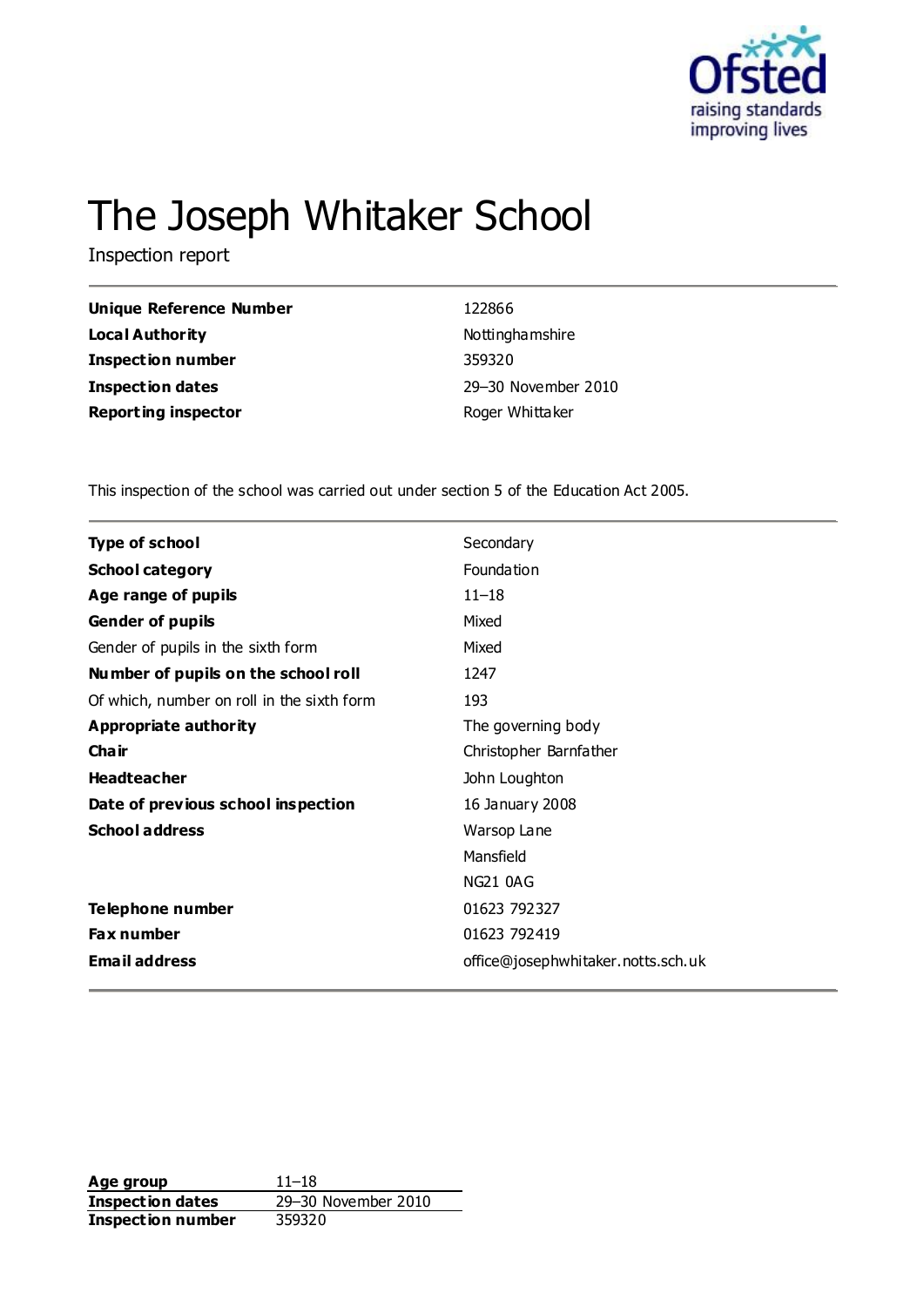

# The Joseph Whitaker School

Inspection report

| <b>Unique Reference Number</b> | 122866              |
|--------------------------------|---------------------|
| Local Authority                | Nottinghamshire     |
| <b>Inspection number</b>       | 359320              |
| <b>Inspection dates</b>        | 29-30 November 2010 |
| <b>Reporting inspector</b>     | Roger Whittaker     |
|                                |                     |

This inspection of the school was carried out under section 5 of the Education Act 2005.

| <b>Type of school</b>                      | Secondary                          |
|--------------------------------------------|------------------------------------|
| <b>School category</b>                     | Foundation                         |
| Age range of pupils                        | $11 - 18$                          |
| <b>Gender of pupils</b>                    | Mixed                              |
| Gender of pupils in the sixth form         | Mixed                              |
| Number of pupils on the school roll        | 1247                               |
| Of which, number on roll in the sixth form | 193                                |
| Appropriate authority                      | The governing body                 |
| Cha ir                                     | Christopher Barnfather             |
| <b>Headteacher</b>                         | John Loughton                      |
| Date of previous school inspection         | 16 January 2008                    |
| <b>School address</b>                      | Warsop Lane                        |
|                                            | Mansfield                          |
|                                            | <b>NG21 0AG</b>                    |
| Telephone number                           | 01623 792327                       |
| Fax number                                 | 01623 792419                       |
| <b>Email address</b>                       | office@josephwhitaker.notts.sch.uk |

**Age group** 11–18 **Inspection dates** 29–30 November 2010 **Inspection number** 359320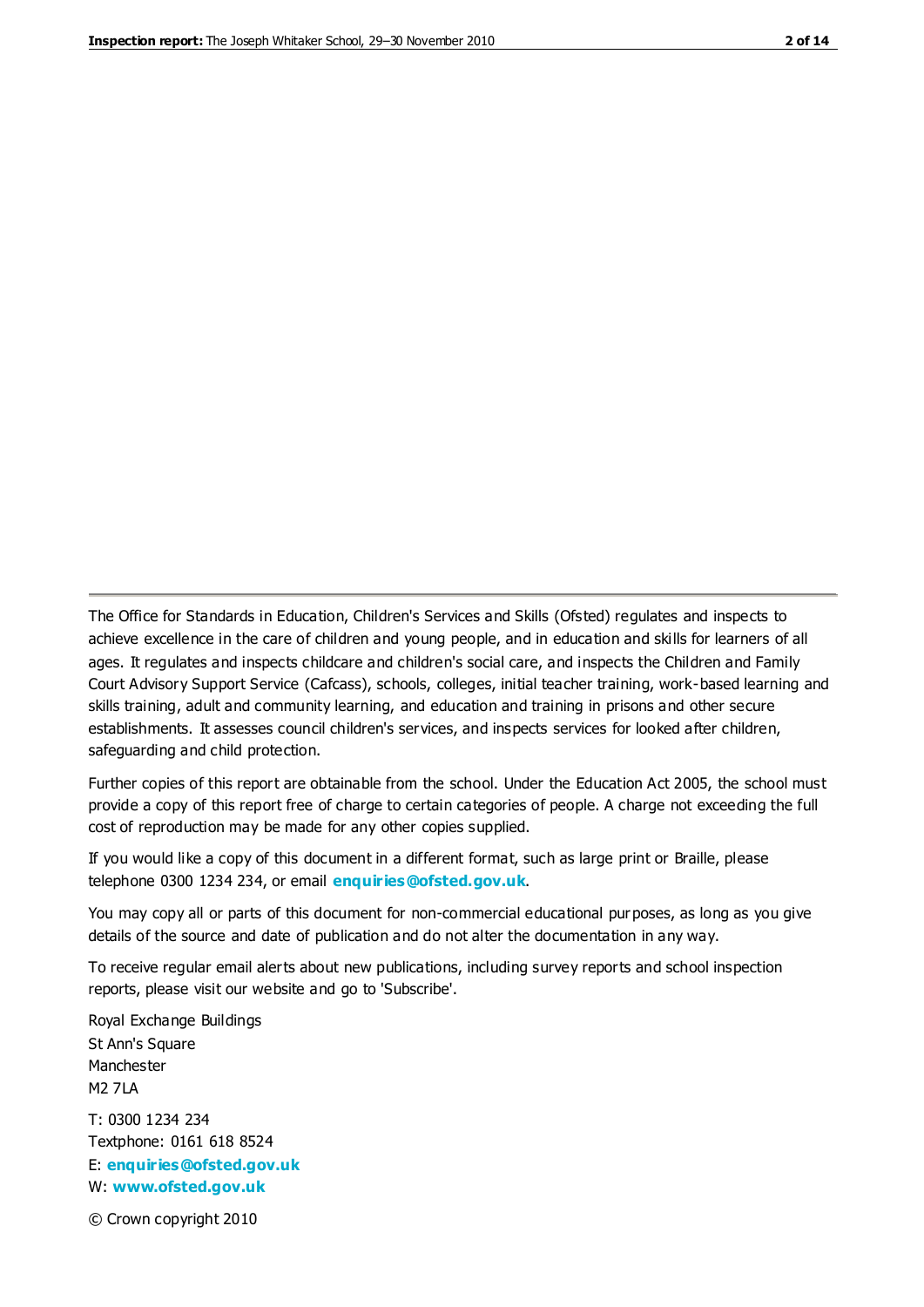The Office for Standards in Education, Children's Services and Skills (Ofsted) regulates and inspects to achieve excellence in the care of children and young people, and in education and skills for learners of all ages. It regulates and inspects childcare and children's social care, and inspects the Children and Family Court Advisory Support Service (Cafcass), schools, colleges, initial teacher training, work-based learning and skills training, adult and community learning, and education and training in prisons and other secure establishments. It assesses council children's services, and inspects services for looked after children, safeguarding and child protection.

Further copies of this report are obtainable from the school. Under the Education Act 2005, the school must provide a copy of this report free of charge to certain categories of people. A charge not exceeding the full cost of reproduction may be made for any other copies supplied.

If you would like a copy of this document in a different format, such as large print or Braille, please telephone 0300 1234 234, or email **[enquiries@ofsted.gov.uk](mailto:enquiries@ofsted.gov.uk)**.

You may copy all or parts of this document for non-commercial educational purposes, as long as you give details of the source and date of publication and do not alter the documentation in any way.

To receive regular email alerts about new publications, including survey reports and school inspection reports, please visit our website and go to 'Subscribe'.

Royal Exchange Buildings St Ann's Square Manchester M2 7LA T: 0300 1234 234 Textphone: 0161 618 8524 E: **[enquiries@ofsted.gov.uk](mailto:enquiries@ofsted.gov.uk)**

W: **[www.ofsted.gov.uk](http://www.ofsted.gov.uk/)**

© Crown copyright 2010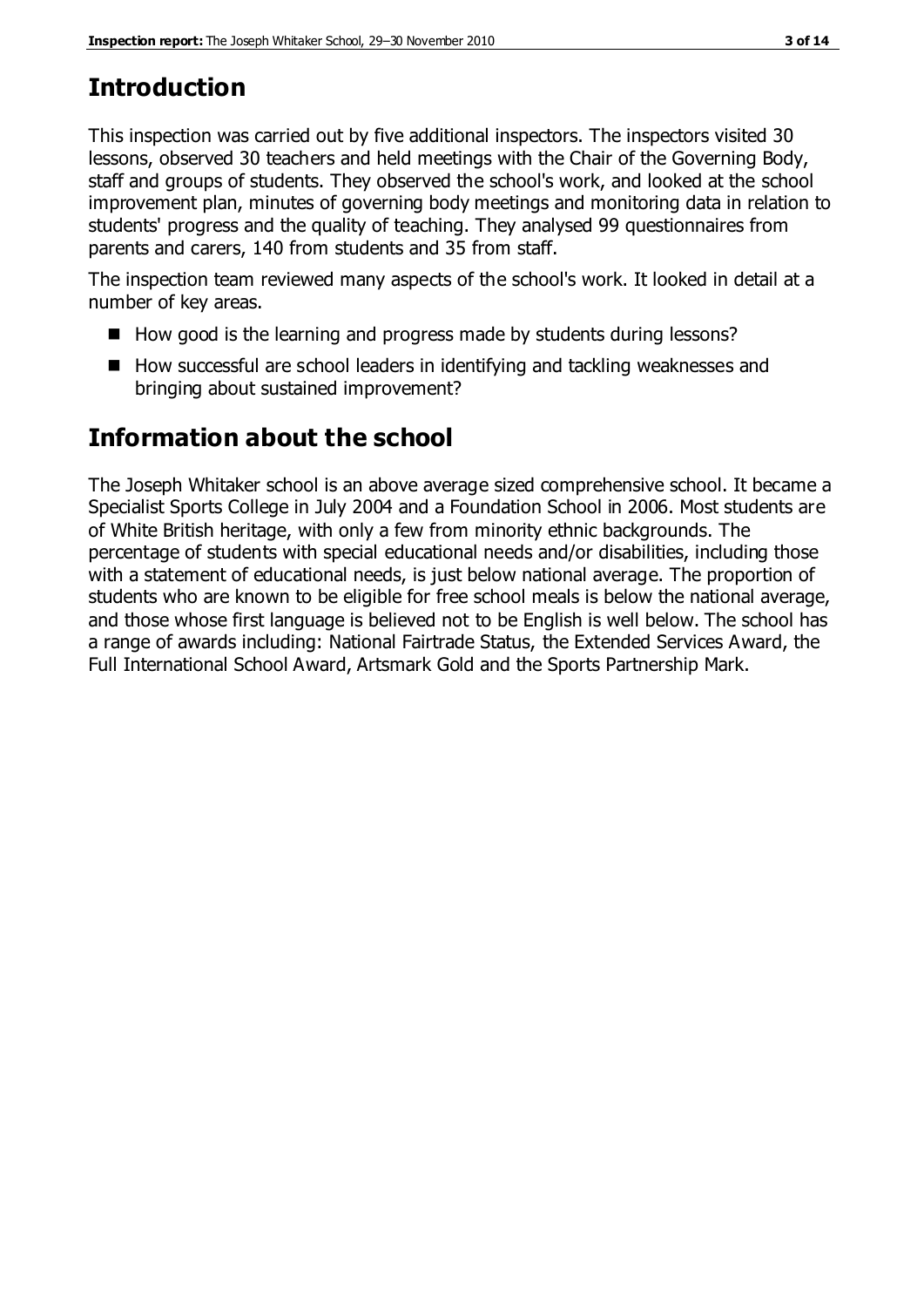# **Introduction**

This inspection was carried out by five additional inspectors. The inspectors visited 30 lessons, observed 30 teachers and held meetings with the Chair of the Governing Body, staff and groups of students. They observed the school's work, and looked at the school improvement plan, minutes of governing body meetings and monitoring data in relation to students' progress and the quality of teaching. They analysed 99 questionnaires from parents and carers, 140 from students and 35 from staff.

The inspection team reviewed many aspects of the school's work. It looked in detail at a number of key areas.

- $\blacksquare$  How good is the learning and progress made by students during lessons?
- How successful are school leaders in identifying and tackling weaknesses and bringing about sustained improvement?

# **Information about the school**

The Joseph Whitaker school is an above average sized comprehensive school. It became a Specialist Sports College in July 2004 and a Foundation School in 2006. Most students are of White British heritage, with only a few from minority ethnic backgrounds. The percentage of students with special educational needs and/or disabilities, including those with a statement of educational needs, is just below national average. The proportion of students who are known to be eligible for free school meals is below the national average, and those whose first language is believed not to be English is well below. The school has a range of awards including: National Fairtrade Status, the Extended Services Award, the Full International School Award, Artsmark Gold and the Sports Partnership Mark.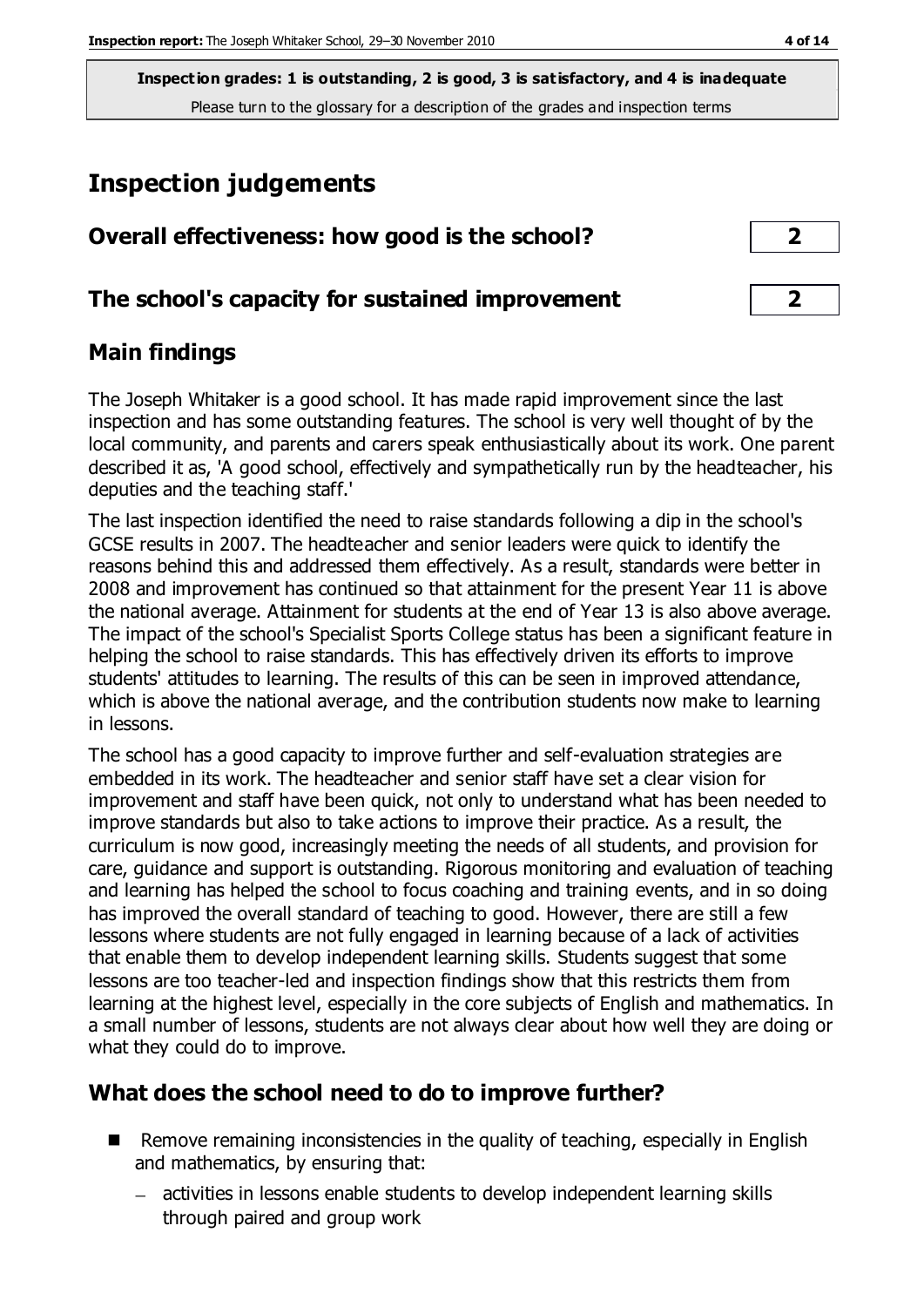# **Inspection judgements**

| Overall effectiveness: how good is the school?  |  |
|-------------------------------------------------|--|
| The school's capacity for sustained improvement |  |

## **Main findings**

The Joseph Whitaker is a good school. It has made rapid improvement since the last inspection and has some outstanding features. The school is very well thought of by the local community, and parents and carers speak enthusiastically about its work. One parent described it as, 'A good school, effectively and sympathetically run by the headteacher, his deputies and the teaching staff.'

The last inspection identified the need to raise standards following a dip in the school's GCSE results in 2007. The headteacher and senior leaders were quick to identify the reasons behind this and addressed them effectively. As a result, standards were better in 2008 and improvement has continued so that attainment for the present Year 11 is above the national average. Attainment for students at the end of Year 13 is also above average. The impact of the school's Specialist Sports College status has been a significant feature in helping the school to raise standards. This has effectively driven its efforts to improve students' attitudes to learning. The results of this can be seen in improved attendance, which is above the national average, and the contribution students now make to learning in lessons.

The school has a good capacity to improve further and self-evaluation strategies are embedded in its work. The headteacher and senior staff have set a clear vision for improvement and staff have been quick, not only to understand what has been needed to improve standards but also to take actions to improve their practice. As a result, the curriculum is now good, increasingly meeting the needs of all students, and provision for care, guidance and support is outstanding. Rigorous monitoring and evaluation of teaching and learning has helped the school to focus coaching and training events, and in so doing has improved the overall standard of teaching to good. However, there are still a few lessons where students are not fully engaged in learning because of a lack of activities that enable them to develop independent learning skills. Students suggest that some lessons are too teacher-led and inspection findings show that this restricts them from learning at the highest level, especially in the core subjects of English and mathematics. In a small number of lessons, students are not always clear about how well they are doing or what they could do to improve.

## **What does the school need to do to improve further?**

- Remove remaining inconsistencies in the quality of teaching, especially in English and mathematics, by ensuring that:
	- activities in lessons enable students to develop independent learning skills through paired and group work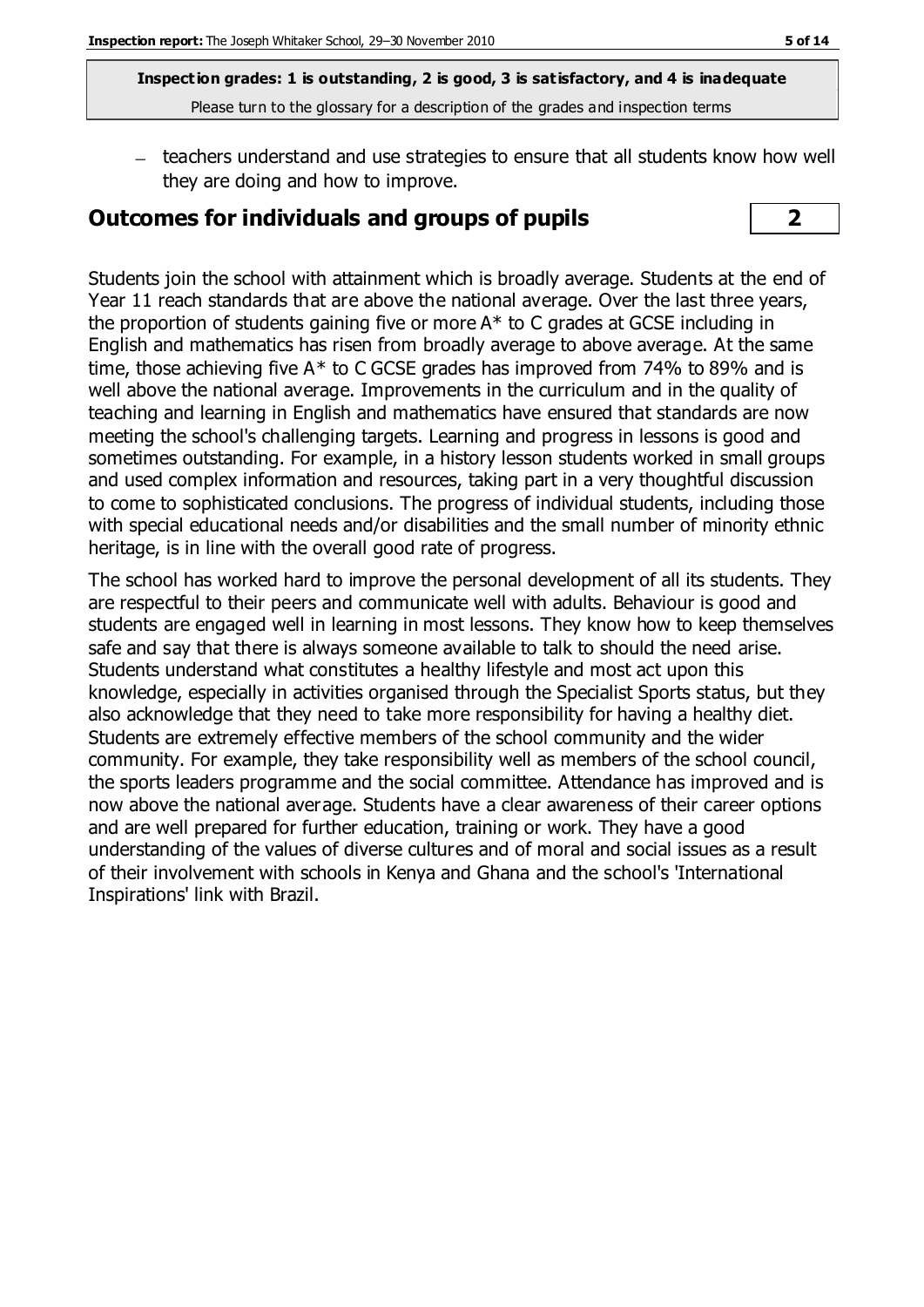teachers understand and use strategies to ensure that all students know how well they are doing and how to improve.

#### **Outcomes for individuals and groups of pupils 2**

Students join the school with attainment which is broadly average. Students at the end of Year 11 reach standards that are above the national average. Over the last three years, the proportion of students gaining five or more A\* to C grades at GCSE including in English and mathematics has risen from broadly average to above average. At the same time, those achieving five A\* to C GCSE grades has improved from 74% to 89% and is well above the national average. Improvements in the curriculum and in the quality of teaching and learning in English and mathematics have ensured that standards are now meeting the school's challenging targets. Learning and progress in lessons is good and sometimes outstanding. For example, in a history lesson students worked in small groups and used complex information and resources, taking part in a very thoughtful discussion to come to sophisticated conclusions. The progress of individual students, including those with special educational needs and/or disabilities and the small number of minority ethnic heritage, is in line with the overall good rate of progress.

The school has worked hard to improve the personal development of all its students. They are respectful to their peers and communicate well with adults. Behaviour is good and students are engaged well in learning in most lessons. They know how to keep themselves safe and say that there is always someone available to talk to should the need arise. Students understand what constitutes a healthy lifestyle and most act upon this knowledge, especially in activities organised through the Specialist Sports status, but they also acknowledge that they need to take more responsibility for having a healthy diet. Students are extremely effective members of the school community and the wider community. For example, they take responsibility well as members of the school council, the sports leaders programme and the social committee. Attendance has improved and is now above the national average. Students have a clear awareness of their career options and are well prepared for further education, training or work. They have a good understanding of the values of diverse cultures and of moral and social issues as a result of their involvement with schools in Kenya and Ghana and the school's 'International Inspirations' link with Brazil.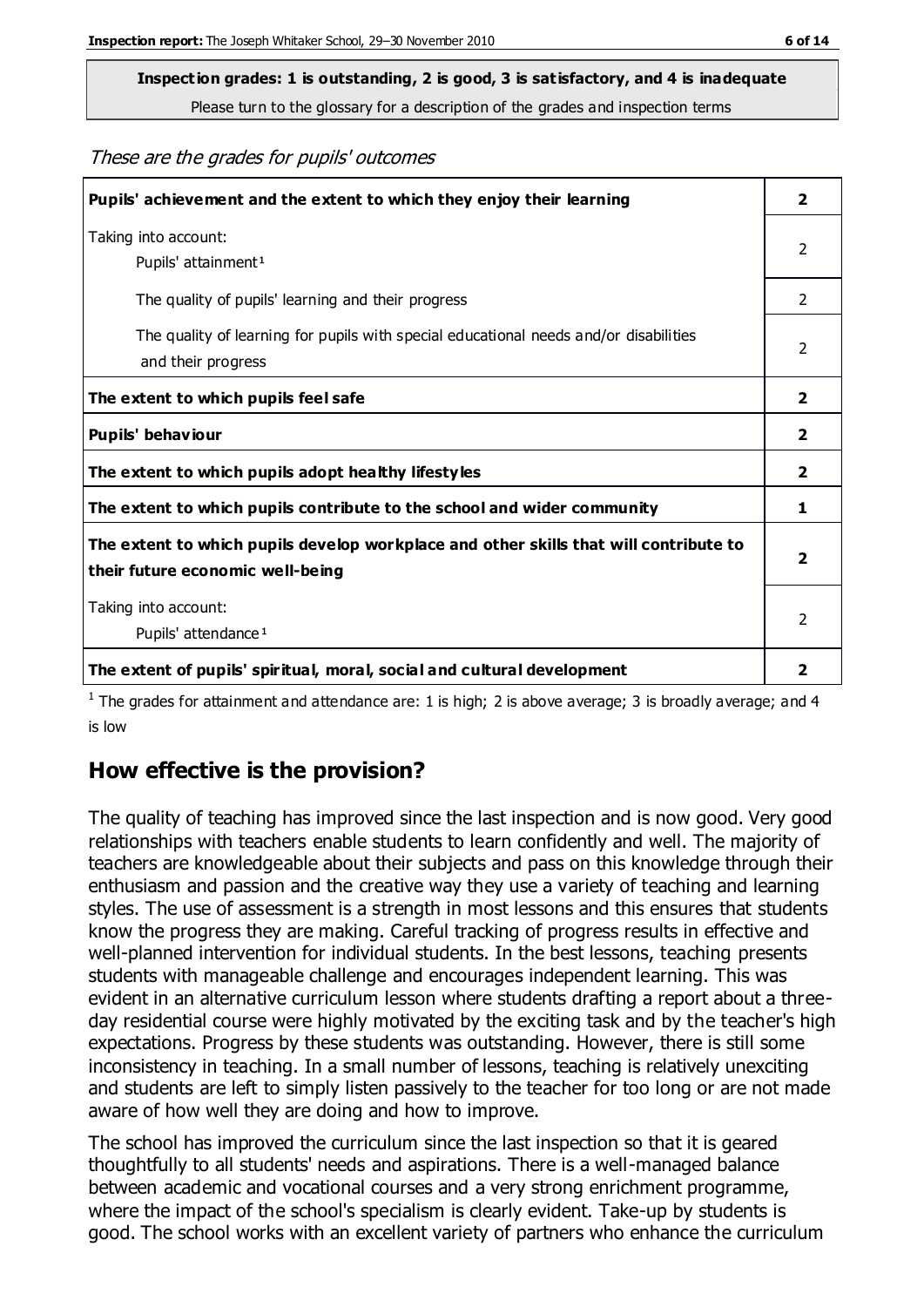**Inspection grades: 1 is outstanding, 2 is good, 3 is satisfactory, and 4 is inadequate**

Please turn to the glossary for a description of the grades and inspection terms

These are the grades for pupils' outcomes

| Pupils' achievement and the extent to which they enjoy their learning                                                     |               |
|---------------------------------------------------------------------------------------------------------------------------|---------------|
| Taking into account:<br>Pupils' attainment <sup>1</sup>                                                                   |               |
| The quality of pupils' learning and their progress                                                                        | $\mathcal{P}$ |
| The quality of learning for pupils with special educational needs and/or disabilities<br>and their progress               |               |
| The extent to which pupils feel safe                                                                                      |               |
| Pupils' behaviour                                                                                                         |               |
| The extent to which pupils adopt healthy lifestyles                                                                       | 2             |
| The extent to which pupils contribute to the school and wider community                                                   |               |
| The extent to which pupils develop workplace and other skills that will contribute to<br>their future economic well-being |               |
| Taking into account:<br>Pupils' attendance <sup>1</sup>                                                                   |               |
| The extent of pupils' spiritual, moral, social and cultural development                                                   | 2             |

<sup>1</sup> The grades for attainment and attendance are: 1 is high; 2 is above average; 3 is broadly average; and 4 is low

## **How effective is the provision?**

The quality of teaching has improved since the last inspection and is now good. Very good relationships with teachers enable students to learn confidently and well. The majority of teachers are knowledgeable about their subjects and pass on this knowledge through their enthusiasm and passion and the creative way they use a variety of teaching and learning styles. The use of assessment is a strength in most lessons and this ensures that students know the progress they are making. Careful tracking of progress results in effective and well-planned intervention for individual students. In the best lessons, teaching presents students with manageable challenge and encourages independent learning. This was evident in an alternative curriculum lesson where students drafting a report about a threeday residential course were highly motivated by the exciting task and by the teacher's high expectations. Progress by these students was outstanding. However, there is still some inconsistency in teaching. In a small number of lessons, teaching is relatively unexciting and students are left to simply listen passively to the teacher for too long or are not made aware of how well they are doing and how to improve.

The school has improved the curriculum since the last inspection so that it is geared thoughtfully to all students' needs and aspirations. There is a well-managed balance between academic and vocational courses and a very strong enrichment programme, where the impact of the school's specialism is clearly evident. Take-up by students is good. The school works with an excellent variety of partners who enhance the curriculum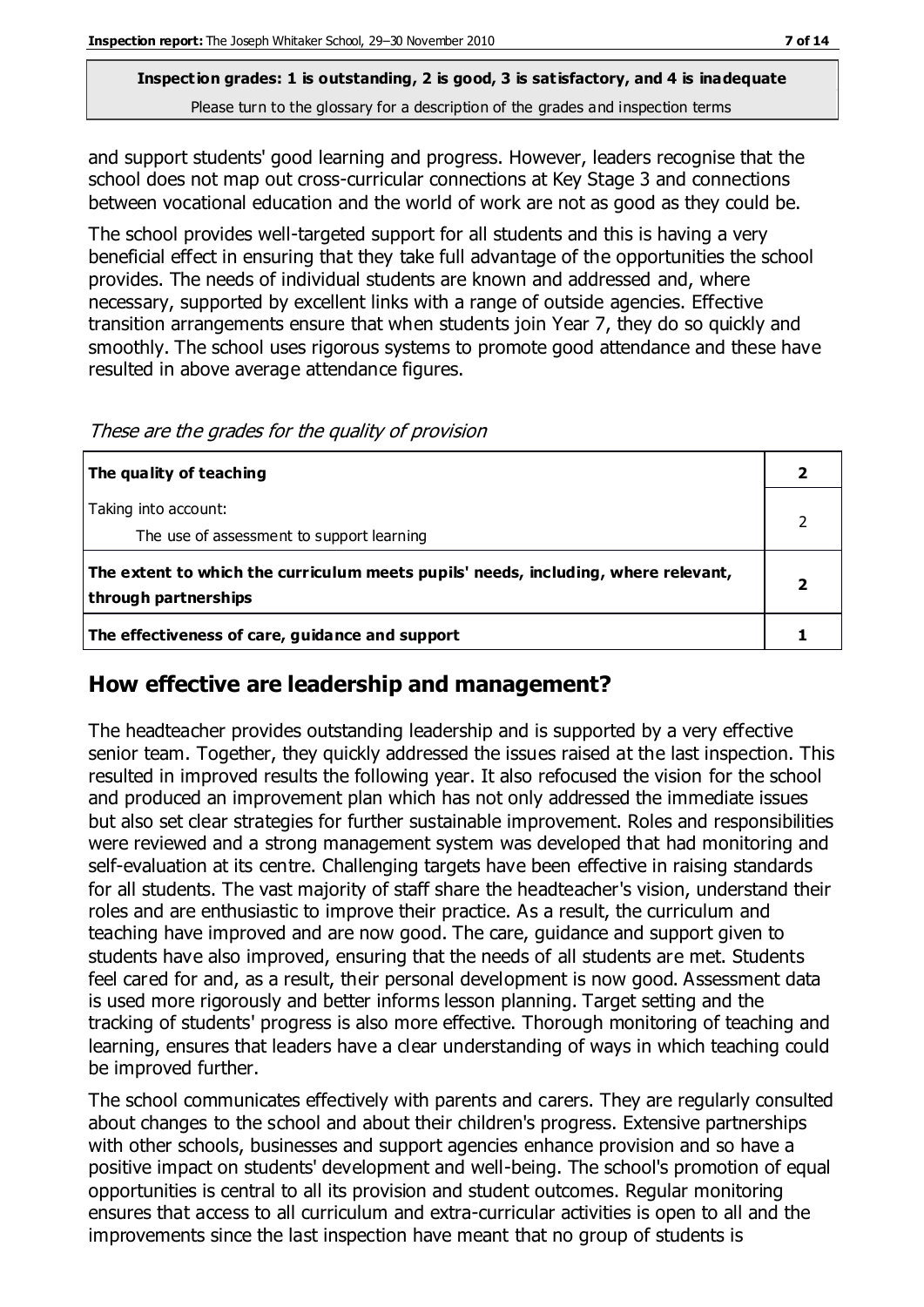# **Inspection grades: 1 is outstanding, 2 is good, 3 is satisfactory, and 4 is inadequate**

Please turn to the glossary for a description of the grades and inspection terms

and support students' good learning and progress. However, leaders recognise that the school does not map out cross-curricular connections at Key Stage 3 and connections between vocational education and the world of work are not as good as they could be.

The school provides well-targeted support for all students and this is having a very beneficial effect in ensuring that they take full advantage of the opportunities the school provides. The needs of individual students are known and addressed and, where necessary, supported by excellent links with a range of outside agencies. Effective transition arrangements ensure that when students join Year 7, they do so quickly and smoothly. The school uses rigorous systems to promote good attendance and these have resulted in above average attendance figures.

These are the grades for the quality of provision

| The quality of teaching                                                                                    |  |
|------------------------------------------------------------------------------------------------------------|--|
| Taking into account:<br>The use of assessment to support learning                                          |  |
| The extent to which the curriculum meets pupils' needs, including, where relevant,<br>through partnerships |  |
| The effectiveness of care, guidance and support                                                            |  |

#### **How effective are leadership and management?**

The headteacher provides outstanding leadership and is supported by a very effective senior team. Together, they quickly addressed the issues raised at the last inspection. This resulted in improved results the following year. It also refocused the vision for the school and produced an improvement plan which has not only addressed the immediate issues but also set clear strategies for further sustainable improvement. Roles and responsibilities were reviewed and a strong management system was developed that had monitoring and self-evaluation at its centre. Challenging targets have been effective in raising standards for all students. The vast majority of staff share the headteacher's vision, understand their roles and are enthusiastic to improve their practice. As a result, the curriculum and teaching have improved and are now good. The care, guidance and support given to students have also improved, ensuring that the needs of all students are met. Students feel cared for and, as a result, their personal development is now good. Assessment data is used more rigorously and better informs lesson planning. Target setting and the tracking of students' progress is also more effective. Thorough monitoring of teaching and learning, ensures that leaders have a clear understanding of ways in which teaching could be improved further.

The school communicates effectively with parents and carers. They are regularly consulted about changes to the school and about their children's progress. Extensive partnerships with other schools, businesses and support agencies enhance provision and so have a positive impact on students' development and well-being. The school's promotion of equal opportunities is central to all its provision and student outcomes. Regular monitoring ensures that access to all curriculum and extra-curricular activities is open to all and the improvements since the last inspection have meant that no group of students is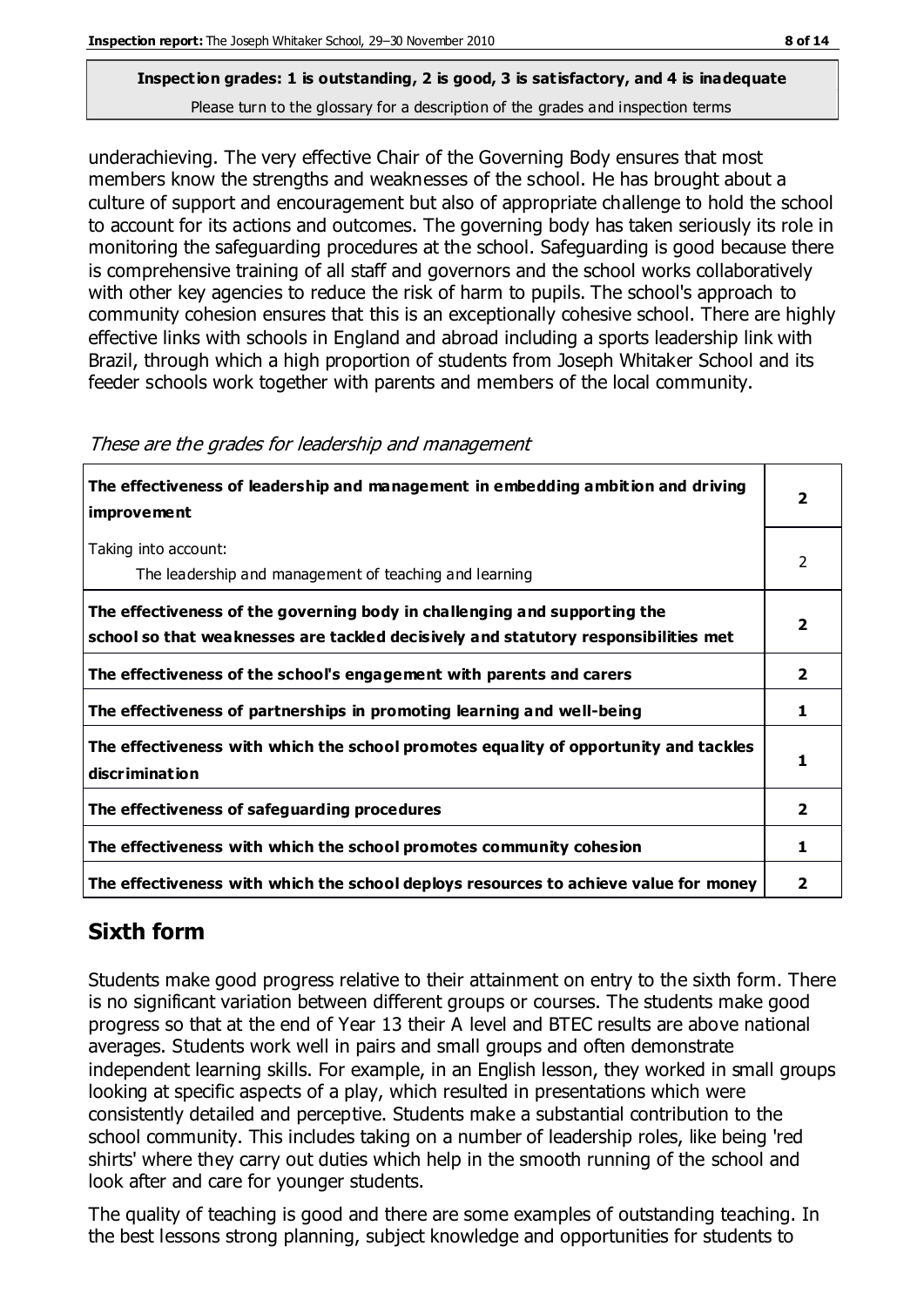underachieving. The very effective Chair of the Governing Body ensures that most members know the strengths and weaknesses of the school. He has brought about a culture of support and encouragement but also of appropriate challenge to hold the school to account for its actions and outcomes. The governing body has taken seriously its role in monitoring the safeguarding procedures at the school. Safeguarding is good because there is comprehensive training of all staff and governors and the school works collaboratively with other key agencies to reduce the risk of harm to pupils. The school's approach to community cohesion ensures that this is an exceptionally cohesive school. There are highly effective links with schools in England and abroad including a sports leadership link with Brazil, through which a high proportion of students from Joseph Whitaker School and its feeder schools work together with parents and members of the local community.

| The effectiveness of leadership and management in embedding ambition and driving<br><i>improvement</i>                                                           |              |
|------------------------------------------------------------------------------------------------------------------------------------------------------------------|--------------|
| Taking into account:<br>The leadership and management of teaching and learning                                                                                   | 2            |
| The effectiveness of the governing body in challenging and supporting the<br>school so that weaknesses are tackled decisively and statutory responsibilities met | 7            |
| The effectiveness of the school's engagement with parents and carers                                                                                             | $\mathbf{2}$ |
| The effectiveness of partnerships in promoting learning and well-being                                                                                           | 1            |
| The effectiveness with which the school promotes equality of opportunity and tackles<br>discrimination                                                           |              |
| The effectiveness of safeguarding procedures                                                                                                                     | 2            |
| The effectiveness with which the school promotes community cohesion                                                                                              | ı            |
| The effectiveness with which the school deploys resources to achieve value for money                                                                             | 2            |

#### These are the grades for leadership and management

## **Sixth form**

Students make good progress relative to their attainment on entry to the sixth form. There is no significant variation between different groups or courses. The students make good progress so that at the end of Year 13 their A level and BTEC results are above national averages. Students work well in pairs and small groups and often demonstrate independent learning skills. For example, in an English lesson, they worked in small groups looking at specific aspects of a play, which resulted in presentations which were consistently detailed and perceptive. Students make a substantial contribution to the school community. This includes taking on a number of leadership roles, like being 'red shirts' where they carry out duties which help in the smooth running of the school and look after and care for younger students.

The quality of teaching is good and there are some examples of outstanding teaching. In the best lessons strong planning, subject knowledge and opportunities for students to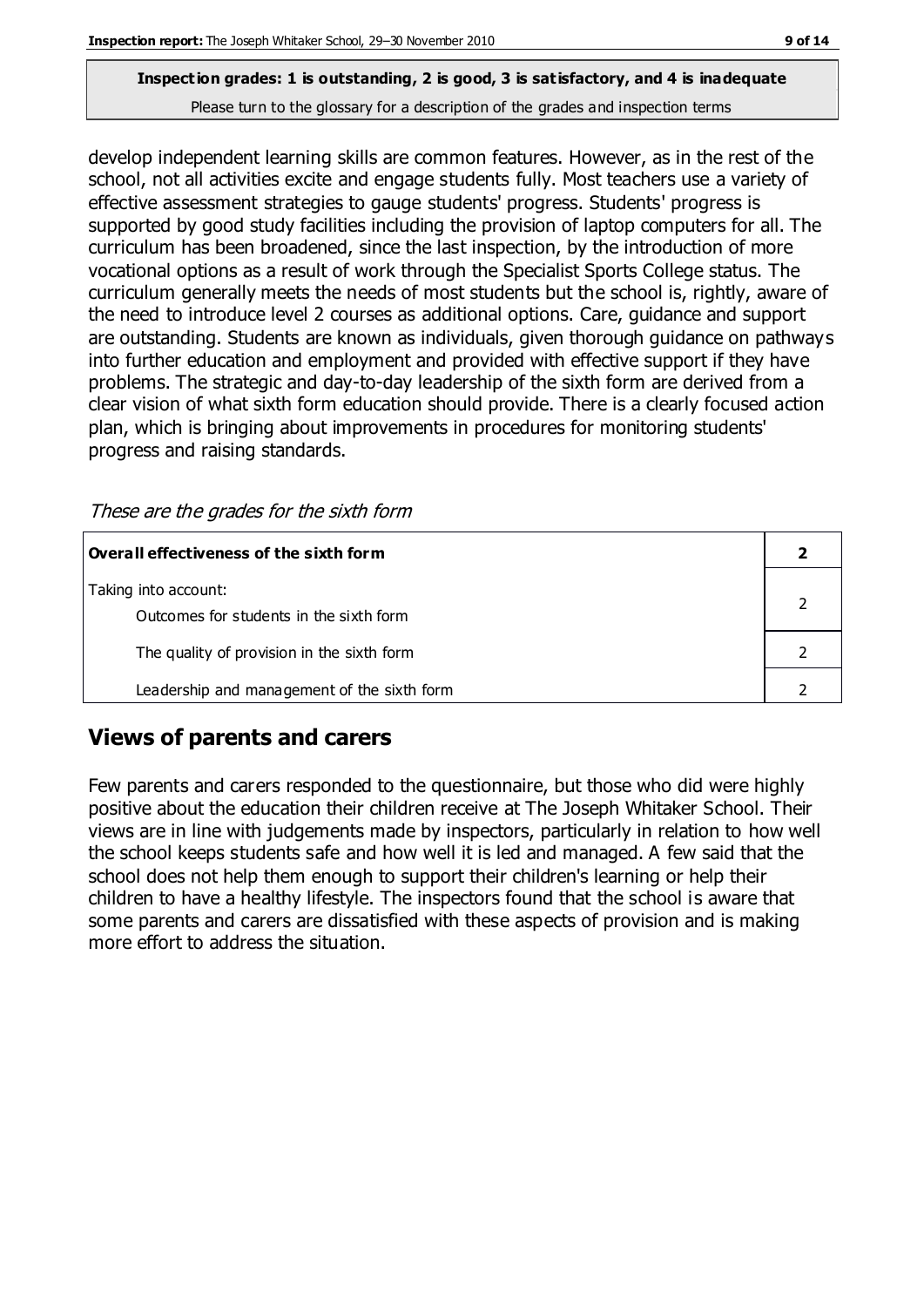develop independent learning skills are common features. However, as in the rest of the school, not all activities excite and engage students fully. Most teachers use a variety of effective assessment strategies to gauge students' progress. Students' progress is supported by good study facilities including the provision of laptop computers for all. The curriculum has been broadened, since the last inspection, by the introduction of more vocational options as a result of work through the Specialist Sports College status. The curriculum generally meets the needs of most students but the school is, rightly, aware of the need to introduce level 2 courses as additional options. Care, guidance and support are outstanding. Students are known as individuals, given thorough guidance on pathways into further education and employment and provided with effective support if they have problems. The strategic and day-to-day leadership of the sixth form are derived from a clear vision of what sixth form education should provide. There is a clearly focused action plan, which is bringing about improvements in procedures for monitoring students' progress and raising standards.

These are the grades for the sixth form

| Overall effectiveness of the sixth form     |  |
|---------------------------------------------|--|
| Taking into account:                        |  |
| Outcomes for students in the sixth form     |  |
| The quality of provision in the sixth form  |  |
| Leadership and management of the sixth form |  |

## **Views of parents and carers**

Few parents and carers responded to the questionnaire, but those who did were highly positive about the education their children receive at The Joseph Whitaker School. Their views are in line with judgements made by inspectors, particularly in relation to how well the school keeps students safe and how well it is led and managed. A few said that the school does not help them enough to support their children's learning or help their children to have a healthy lifestyle. The inspectors found that the school is aware that some parents and carers are dissatisfied with these aspects of provision and is making more effort to address the situation.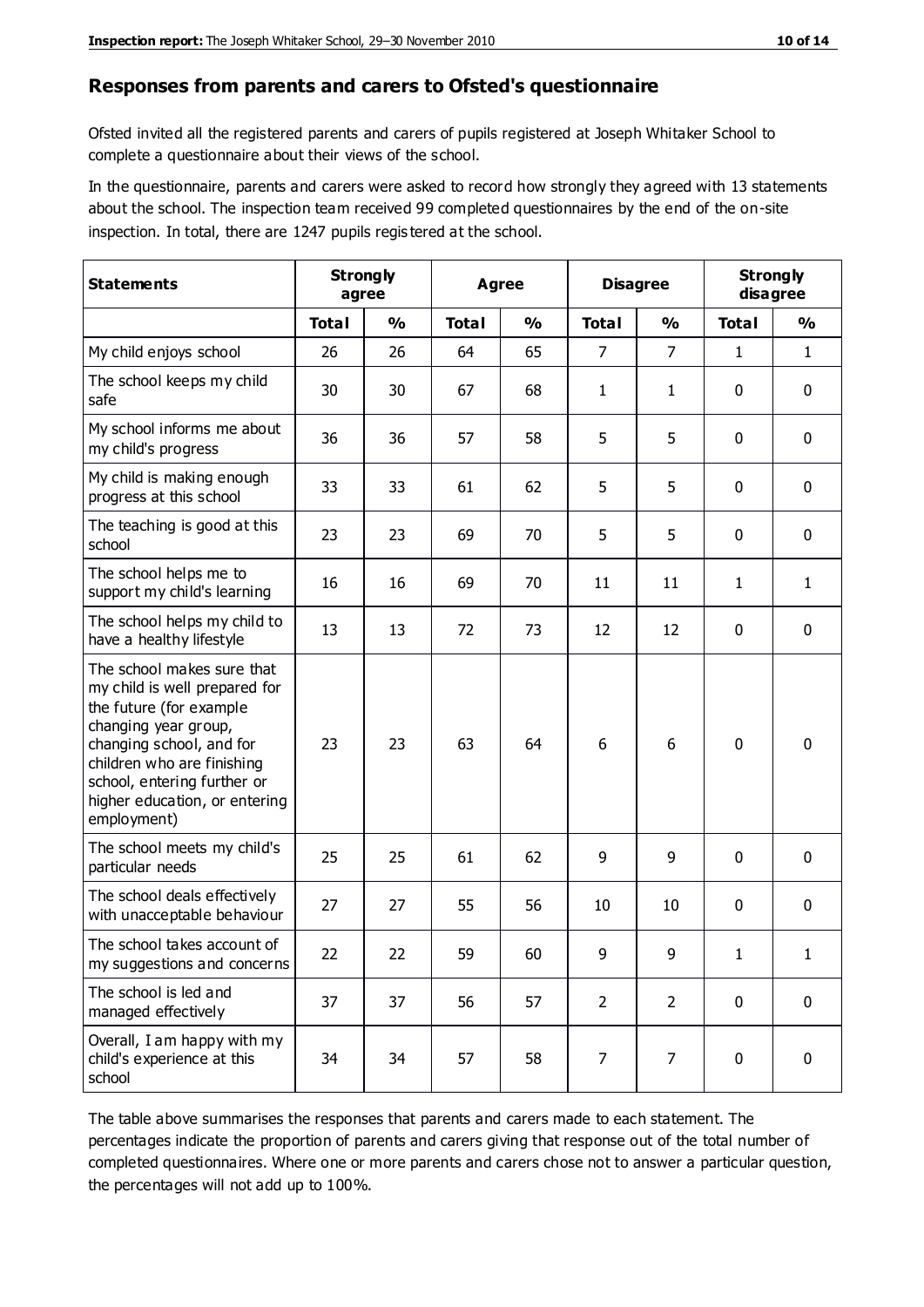#### **Responses from parents and carers to Ofsted's questionnaire**

Ofsted invited all the registered parents and carers of pupils registered at Joseph Whitaker School to complete a questionnaire about their views of the school.

In the questionnaire, parents and carers were asked to record how strongly they agreed with 13 statements about the school. The inspection team received 99 completed questionnaires by the end of the on-site inspection. In total, there are 1247 pupils regis tered at the school.

| <b>Statements</b>                                                                                                                                                                                                                                       | <b>Strongly</b><br>agree |               | Agree        |               | <b>Disagree</b> |                | <b>Strongly</b><br>disagree |               |
|---------------------------------------------------------------------------------------------------------------------------------------------------------------------------------------------------------------------------------------------------------|--------------------------|---------------|--------------|---------------|-----------------|----------------|-----------------------------|---------------|
|                                                                                                                                                                                                                                                         | <b>Total</b>             | $\frac{0}{0}$ | <b>Total</b> | $\frac{0}{0}$ | <b>Total</b>    | $\frac{0}{0}$  | <b>Total</b>                | $\frac{0}{0}$ |
| My child enjoys school                                                                                                                                                                                                                                  | 26                       | 26            | 64           | 65            | $\overline{7}$  | $\overline{7}$ | 1                           | $\mathbf{1}$  |
| The school keeps my child<br>safe                                                                                                                                                                                                                       | 30                       | 30            | 67           | 68            | 1               | $\mathbf{1}$   | $\mathbf 0$                 | $\mathbf 0$   |
| My school informs me about<br>my child's progress                                                                                                                                                                                                       | 36                       | 36            | 57           | 58            | 5               | 5              | $\mathbf 0$                 | $\mathbf 0$   |
| My child is making enough<br>progress at this school                                                                                                                                                                                                    | 33                       | 33            | 61           | 62            | 5               | 5              | 0                           | $\mathbf 0$   |
| The teaching is good at this<br>school                                                                                                                                                                                                                  | 23                       | 23            | 69           | 70            | 5               | 5              | $\mathbf 0$                 | $\mathbf 0$   |
| The school helps me to<br>support my child's learning                                                                                                                                                                                                   | 16                       | 16            | 69           | 70            | 11              | 11             | 1                           | $\mathbf{1}$  |
| The school helps my child to<br>have a healthy lifestyle                                                                                                                                                                                                | 13                       | 13            | 72           | 73            | 12              | 12             | $\mathbf 0$                 | $\mathbf 0$   |
| The school makes sure that<br>my child is well prepared for<br>the future (for example<br>changing year group,<br>changing school, and for<br>children who are finishing<br>school, entering further or<br>higher education, or entering<br>employment) | 23                       | 23            | 63           | 64            | 6               | 6              | $\mathbf 0$                 | $\mathbf 0$   |
| The school meets my child's<br>particular needs                                                                                                                                                                                                         | 25                       | 25            | 61           | 62            | 9               | 9              | $\mathbf 0$                 | $\mathbf 0$   |
| The school deals effectively<br>with unacceptable behaviour                                                                                                                                                                                             | 27                       | 27            | 55           | 56            | 10              | 10             | 0                           | 0             |
| The school takes account of<br>my suggestions and concerns                                                                                                                                                                                              | 22                       | 22            | 59           | 60            | 9               | 9              | 1                           | 1             |
| The school is led and<br>managed effectively                                                                                                                                                                                                            | 37                       | 37            | 56           | 57            | $\overline{2}$  | $\overline{2}$ | $\mathbf 0$                 | $\mathbf 0$   |
| Overall, I am happy with my<br>child's experience at this<br>school                                                                                                                                                                                     | 34                       | 34            | 57           | 58            | $\overline{7}$  | $\overline{7}$ | $\mathbf 0$                 | $\mathbf 0$   |

The table above summarises the responses that parents and carers made to each statement. The percentages indicate the proportion of parents and carers giving that response out of the total number of completed questionnaires. Where one or more parents and carers chose not to answer a particular question, the percentages will not add up to 100%.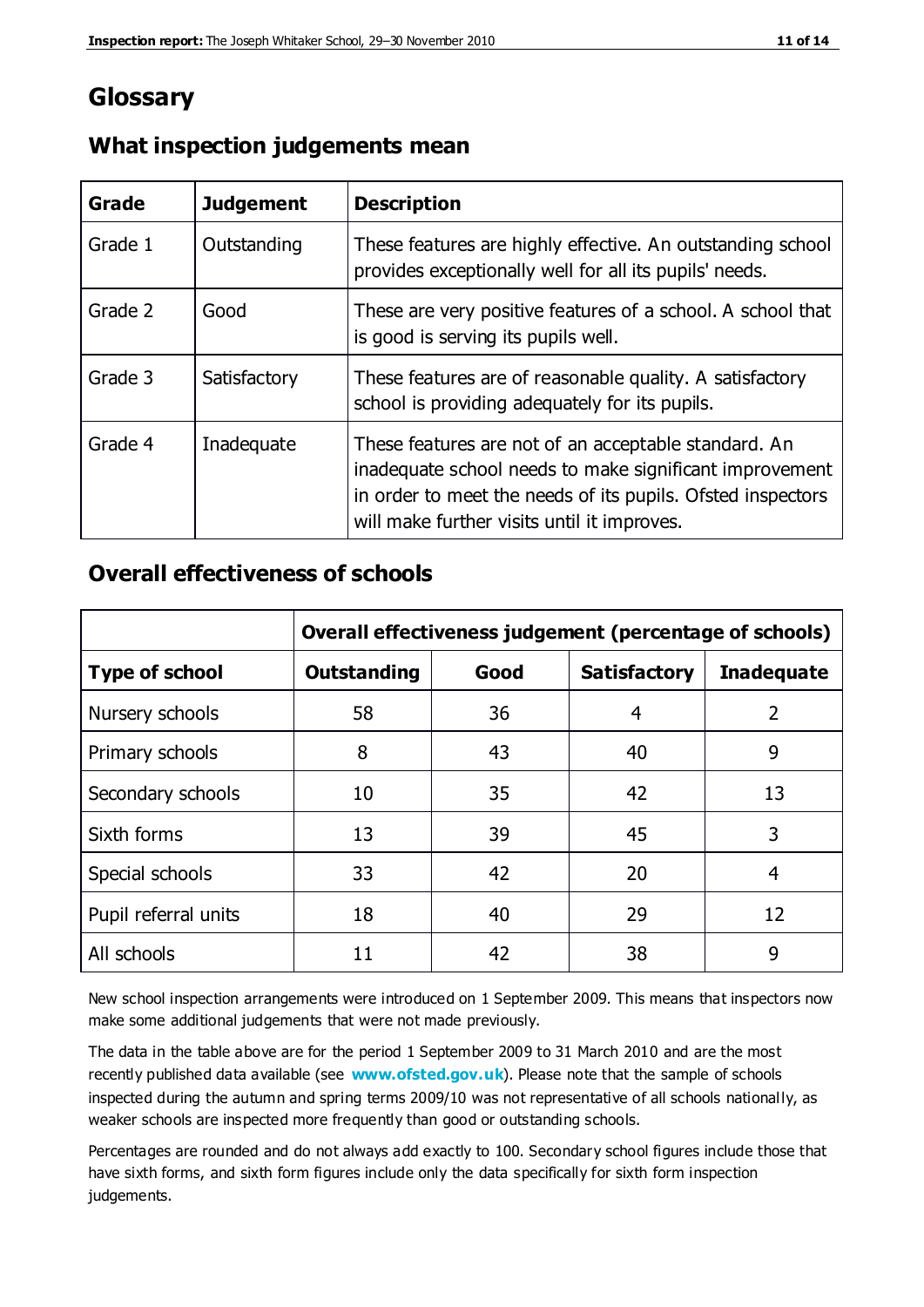# **Glossary**

| Grade   | <b>Judgement</b> | <b>Description</b>                                                                                                                                                                                                            |
|---------|------------------|-------------------------------------------------------------------------------------------------------------------------------------------------------------------------------------------------------------------------------|
| Grade 1 | Outstanding      | These features are highly effective. An outstanding school<br>provides exceptionally well for all its pupils' needs.                                                                                                          |
| Grade 2 | Good             | These are very positive features of a school. A school that<br>is good is serving its pupils well.                                                                                                                            |
| Grade 3 | Satisfactory     | These features are of reasonable quality. A satisfactory<br>school is providing adequately for its pupils.                                                                                                                    |
| Grade 4 | Inadequate       | These features are not of an acceptable standard. An<br>inadequate school needs to make significant improvement<br>in order to meet the needs of its pupils. Ofsted inspectors<br>will make further visits until it improves. |

### **What inspection judgements mean**

### **Overall effectiveness of schools**

|                       | Overall effectiveness judgement (percentage of schools) |      |                     |                   |
|-----------------------|---------------------------------------------------------|------|---------------------|-------------------|
| <b>Type of school</b> | <b>Outstanding</b>                                      | Good | <b>Satisfactory</b> | <b>Inadequate</b> |
| Nursery schools       | 58                                                      | 36   | 4                   | $\overline{2}$    |
| Primary schools       | 8                                                       | 43   | 40                  | 9                 |
| Secondary schools     | 10                                                      | 35   | 42                  | 13                |
| Sixth forms           | 13                                                      | 39   | 45                  | 3                 |
| Special schools       | 33                                                      | 42   | 20                  | 4                 |
| Pupil referral units  | 18                                                      | 40   | 29                  | 12                |
| All schools           | 11                                                      | 42   | 38                  | 9                 |

New school inspection arrangements were introduced on 1 September 2009. This means that inspectors now make some additional judgements that were not made previously.

The data in the table above are for the period 1 September 2009 to 31 March 2010 and are the most recently published data available (see **[www.ofsted.gov.uk](http://www.ofsted.gov.uk/)**). Please note that the sample of schools inspected during the autumn and spring terms 2009/10 was not representative of all schools nationally, as weaker schools are inspected more frequently than good or outstanding schools.

Percentages are rounded and do not always add exactly to 100. Secondary school figures include those that have sixth forms, and sixth form figures include only the data specifically for sixth form inspection judgements.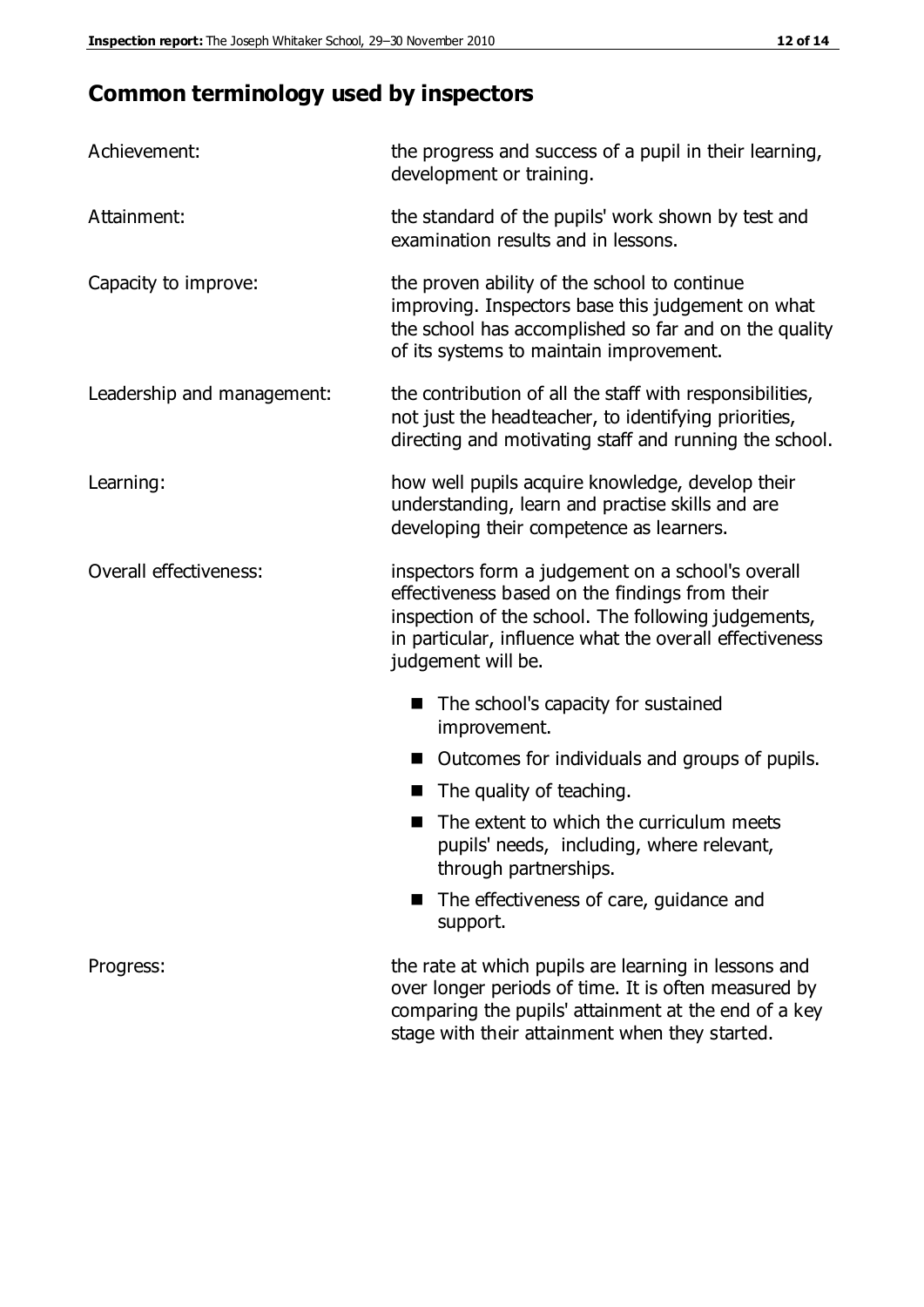# **Common terminology used by inspectors**

| Achievement:               | the progress and success of a pupil in their learning,<br>development or training.                                                                                                                                                          |
|----------------------------|---------------------------------------------------------------------------------------------------------------------------------------------------------------------------------------------------------------------------------------------|
| Attainment:                | the standard of the pupils' work shown by test and<br>examination results and in lessons.                                                                                                                                                   |
| Capacity to improve:       | the proven ability of the school to continue<br>improving. Inspectors base this judgement on what<br>the school has accomplished so far and on the quality<br>of its systems to maintain improvement.                                       |
| Leadership and management: | the contribution of all the staff with responsibilities,<br>not just the headteacher, to identifying priorities,<br>directing and motivating staff and running the school.                                                                  |
| Learning:                  | how well pupils acquire knowledge, develop their<br>understanding, learn and practise skills and are<br>developing their competence as learners.                                                                                            |
| Overall effectiveness:     | inspectors form a judgement on a school's overall<br>effectiveness based on the findings from their<br>inspection of the school. The following judgements,<br>in particular, influence what the overall effectiveness<br>judgement will be. |
|                            | The school's capacity for sustained<br>improvement.                                                                                                                                                                                         |
|                            | Outcomes for individuals and groups of pupils.                                                                                                                                                                                              |
|                            | The quality of teaching.                                                                                                                                                                                                                    |
|                            | The extent to which the curriculum meets<br>pupils' needs, including, where relevant,<br>through partnerships.                                                                                                                              |
|                            | The effectiveness of care, guidance and<br>support.                                                                                                                                                                                         |
| Progress:                  | the rate at which pupils are learning in lessons and<br>over longer periods of time. It is often measured by<br>comparing the pupils' attainment at the end of a key                                                                        |

stage with their attainment when they started.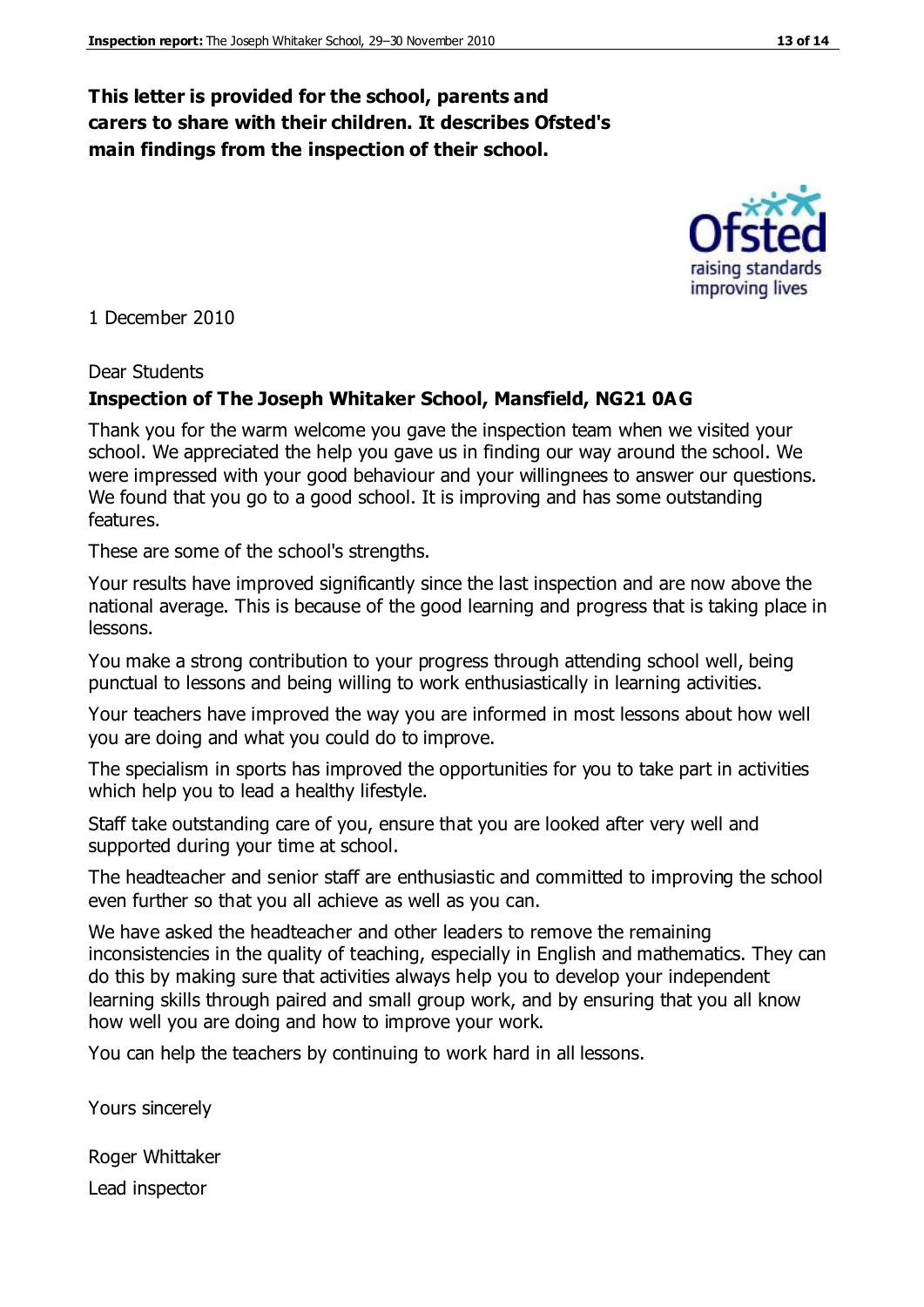#### **This letter is provided for the school, parents and carers to share with their children. It describes Ofsted's main findings from the inspection of their school.**

1 December 2010

#### Dear Students

#### **Inspection of The Joseph Whitaker School, Mansfield, NG21 0AG**

Thank you for the warm welcome you gave the inspection team when we visited your school. We appreciated the help you gave us in finding our way around the school. We were impressed with your good behaviour and your willingnees to answer our questions. We found that you go to a good school. It is improving and has some outstanding features.

These are some of the school's strengths.

Your results have improved significantly since the last inspection and are now above the national average. This is because of the good learning and progress that is taking place in lessons.

You make a strong contribution to your progress through attending school well, being punctual to lessons and being willing to work enthusiastically in learning activities.

Your teachers have improved the way you are informed in most lessons about how well you are doing and what you could do to improve.

The specialism in sports has improved the opportunities for you to take part in activities which help you to lead a healthy lifestyle.

Staff take outstanding care of you, ensure that you are looked after very well and supported during your time at school.

The headteacher and senior staff are enthusiastic and committed to improving the school even further so that you all achieve as well as you can.

We have asked the headteacher and other leaders to remove the remaining inconsistencies in the quality of teaching, especially in English and mathematics. They can do this by making sure that activities always help you to develop your independent learning skills through paired and small group work, and by ensuring that you all know how well you are doing and how to improve your work.

You can help the teachers by continuing to work hard in all lessons.

Yours sincerely

Roger Whittaker Lead inspector